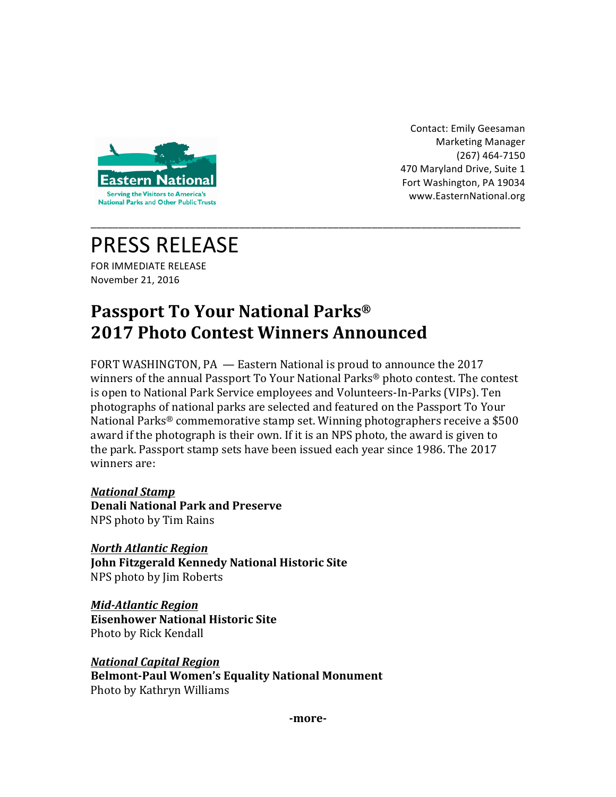

Contact: Emily Geesaman Marketing Manager (267) 464-7150 470 Maryland Drive, Suite 1 Fort Washington, PA 19034 www.EasternNational.org 

# PRESS RELEASE

FOR IMMEDIATE RELEASE November 21, 2016

## **Passport To Your National Parks® 2017 Photo Contest Winners Announced**

FORT WASHINGTON, PA  $-$  Eastern National is proud to announce the 2017 winners of the annual Passport To Your National Parks<sup>®</sup> photo contest. The contest is open to National Park Service employees and Volunteers-In-Parks (VIPs). Ten photographs of national parks are selected and featured on the Passport To Your National Parks<sup>®</sup> commemorative stamp set. Winning photographers receive a \$500 award if the photograph is their own. If it is an NPS photo, the award is given to the park. Passport stamp sets have been issued each year since 1986. The 2017 winners are:

\_\_\_\_\_\_\_\_\_\_\_\_\_\_\_\_\_\_\_\_\_\_\_\_\_\_\_\_\_\_\_\_\_\_\_\_\_\_\_\_\_\_\_\_\_\_\_\_\_\_\_\_\_\_\_\_\_\_\_\_\_\_\_\_\_\_\_\_\_\_\_\_\_\_\_\_\_\_

*National Stamp* **Denali National Park and Preserve** NPS photo by Tim Rains

*North Atlantic Region* **John Fitzgerald Kennedy National Historic Site** NPS photo by Jim Roberts

*Mid-Atlantic Region* **Eisenhower National Historic Site** Photo by Rick Kendall

*National Capital Region* **Belmont-Paul Women's Equality National Monument** Photo by Kathryn Williams